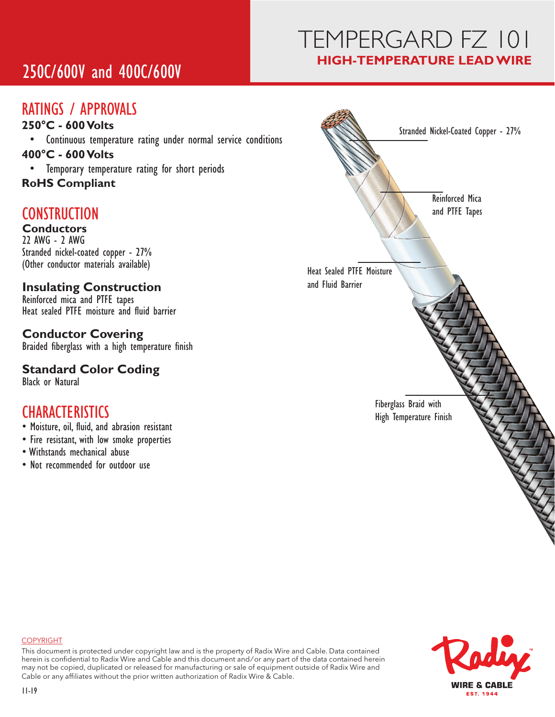# 250C/600V and 400C/600V

# TEMPERGARD FZ 101 **HIGH-TEMPERATURE LEAD WIRE**

## RATINGS / APPROVALS

- **250�C 600 Volts**
- Continuous temperature rating under normal service conditions **400�C - 600 Volts**
- Temporary temperature rating for short periods
- **RoHS Compliant**

## **CONSTRUCTION**

#### **Conductors** 22 AWG - 2 AWG

Stranded nickel-coated copper - 27% (Other conductor materials available)

#### **Insulating Construction**

Reinforced mica and PTFE tapes Heat sealed PTFE moisture and fluid barrier

#### **Conductor Covering**

Braided fiberglass with a high temperature finish

### **Standard Color Coding**

Black or Natural

### **CHARACTERISTICS**

- Moisture, oil, fluid, and abrasion resistant
- Fire resistant, with low smoke properties
- Withstands mechanical abuse
- Not recommended for outdoor use





#### COPYRIGHT

This document is protected under copyright law and is the property of Radix Wire and Cable. Data contained herein is confidential to Radix Wire and Cable and this document and / or any part of the data contained herein may not be copied, duplicated or released for manufacturing or sale of equipment outside of Radix Wire and Cable or any affiliates without the prior written authorization of Radix Wire & Cable.